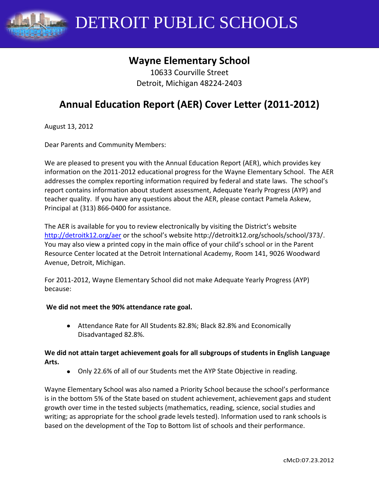

DETROIT PUBLIC SCHOOLS

## **Wayne Elementary School**

10633 Courville Street Detroit, Michigan 48224-2403

# **Annual Education Report (AER) Cover Letter (2011-2012)**

August 13, 2012

Dear Parents and Community Members:

We are pleased to present you with the Annual Education Report (AER), which provides key information on the 2011-2012 educational progress for the Wayne Elementary School. The AER addresses the complex reporting information required by federal and state laws. The school's report contains information about student assessment, Adequate Yearly Progress (AYP) and teacher quality. If you have any questions about the AER, please contact Pamela Askew, Principal at (313) 866-0400 for assistance.

The AER is available for you to review electronically by visiting the District's website <http://detroitk12.org/aer> or the school's website http://detroitk12.org/schools/school/373/. You may also view a printed copy in the main office of your child's school or in the Parent Resource Center located at the Detroit International Academy, Room 141, 9026 Woodward Avenue, Detroit, Michigan.

For 2011-2012, Wayne Elementary School did not make Adequate Yearly Progress (AYP) because:

#### **We did not meet the 90% attendance rate goal.**

Attendance Rate for All Students 82.8%; Black 82.8% and Economically Disadvantaged 82.8%.

#### **We did not attain target achievement goals for all subgroups of students in English Language Arts.**

Only 22.6% of all of our Students met the AYP State Objective in reading.

Wayne Elementary School was also named a Priority School because the school's performance is in the bottom 5% of the State based on student achievement, achievement gaps and student growth over time in the tested subjects (mathematics, reading, science, social studies and writing; as appropriate for the school grade levels tested). Information used to rank schools is based on the development of the Top to Bottom list of schools and their performance.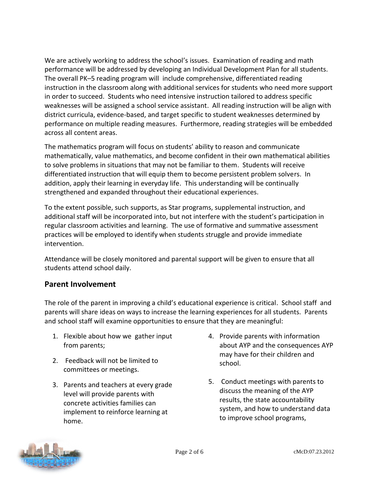We are actively working to address the school's issues. Examination of reading and math performance will be addressed by developing an Individual Development Plan for all students. The overall PK–5 reading program will include comprehensive, differentiated reading instruction in the classroom along with additional services for students who need more support in order to succeed. Students who need intensive instruction tailored to address specific weaknesses will be assigned a school service assistant. All reading instruction will be align with district curricula, evidence-based, and target specific to student weaknesses determined by performance on multiple reading measures. Furthermore, reading strategies will be embedded across all content areas.

The mathematics program will focus on students' ability to reason and communicate mathematically, value mathematics, and become confident in their own mathematical abilities to solve problems in situations that may not be familiar to them. Students will receive differentiated instruction that will equip them to become persistent problem solvers. In addition, apply their learning in everyday life. This understanding will be continually strengthened and expanded throughout their educational experiences.

To the extent possible, such supports, as Star programs, supplemental instruction, and additional staff will be incorporated into, but not interfere with the student's participation in regular classroom activities and learning. The use of formative and summative assessment practices will be employed to identify when students struggle and provide immediate intervention.

Attendance will be closely monitored and parental support will be given to ensure that all students attend school daily.

### **Parent Involvement**

The role of the parent in improving a child's educational experience is critical. School staff and parents will share ideas on ways to increase the learning experiences for all students. Parents and school staff will examine opportunities to ensure that they are meaningful:

- 1. Flexible about how we gather input from parents;
- 2. Feedback will not be limited to committees or meetings.
- 3. Parents and teachers at every grade level will provide parents with concrete activities families can implement to reinforce learning at home.
- 4. Provide parents with information about AYP and the consequences AYP may have for their children and school.
- 5. Conduct meetings with parents to discuss the meaning of the AYP results, the state accountability system, and how to understand data to improve school programs,

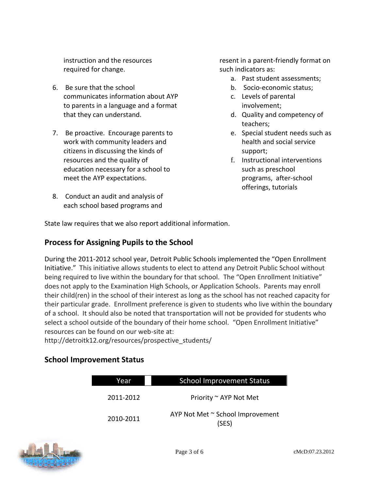instruction and the resources required for change.

- 6. Be sure that the school communicates information about AYP to parents in a language and a format that they can understand.
- 7. Be proactive. Encourage parents to work with community leaders and citizens in discussing the kinds of resources and the quality of education necessary for a school to meet the AYP expectations.
- 8. Conduct an audit and analysis of each school based programs and

resent in a parent-friendly format on such indicators as:

- a. Past student assessments;
- b. Socio-economic status;
- c. Levels of parental involvement;
- d. Quality and competency of teachers;
- e. Special student needs such as health and social service support;
- f. Instructional interventions such as preschool programs, after-school offerings, tutorials

State law requires that we also report additional information.

### **Process for Assigning Pupils to the School**

During the 2011-2012 school year, Detroit Public Schools implemented the "Open Enrollment Initiative." This initiative allows students to elect to attend any Detroit Public School without being required to live within the boundary for that school. The "Open Enrollment Initiative" does not apply to the Examination High Schools, or Application Schools. Parents may enroll their child(ren) in the school of their interest as long as the school has not reached capacity for their particular grade. Enrollment preference is given to students who live within the boundary of a school. It should also be noted that transportation will not be provided for students who select a school outside of the boundary of their home school. "Open Enrollment Initiative" resources can be found on our web-site at:

http://detroitk12.org/resources/prospective\_students/

### **School Improvement Status**

| Year      | <b>School Improvement Status</b>          |  |  |
|-----------|-------------------------------------------|--|--|
| 2011-2012 | Priority ~ AYP Not Met                    |  |  |
| 2010-2011 | AYP Not Met ~ School Improvement<br>(SES) |  |  |

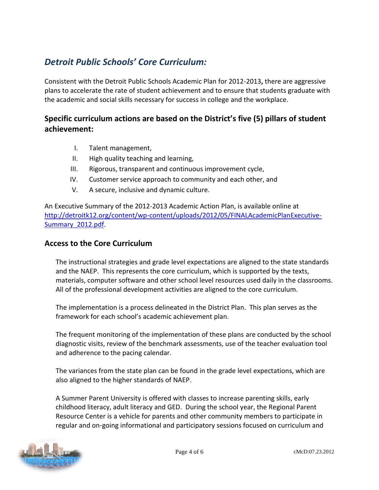## *Detroit Public Schools' Core Curriculum:*

Consistent with the Detroit Public Schools Academic Plan for 2012-2013**,** there are aggressive plans to accelerate the rate of student achievement and to ensure that students graduate with the academic and social skills necessary for success in college and the workplace.

### **Specific curriculum actions are based on the District's five (5) pillars of student achievement:**

- I. Talent management,
- II. High quality teaching and learning,
- III. Rigorous, transparent and continuous improvement cycle,
- IV. Customer service approach to community and each other, and
- V. A secure, inclusive and dynamic culture.

An Executive Summary of the 2012-2013 Academic Action Plan, is available online at [http://detroitk12.org/content/wp-content/uploads/2012/05/FINALAcademicPlanExecutive-](http://detroitk12.org/content/wp-content/uploads/2012/05/FINALAcademicPlanExecutive-Summary_2012.pdf)[Summary\\_2012.pdf](http://detroitk12.org/content/wp-content/uploads/2012/05/FINALAcademicPlanExecutive-Summary_2012.pdf).

### **Access to the Core Curriculum**

The instructional strategies and grade level expectations are aligned to the state standards and the NAEP. This represents the core curriculum, which is supported by the texts, materials, computer software and other school level resources used daily in the classrooms. All of the professional development activities are aligned to the core curriculum.

The implementation is a process delineated in the District Plan. This plan serves as the framework for each school's academic achievement plan.

The frequent monitoring of the implementation of these plans are conducted by the school diagnostic visits, review of the benchmark assessments, use of the teacher evaluation tool and adherence to the pacing calendar.

The variances from the state plan can be found in the grade level expectations, which are also aligned to the higher standards of NAEP.

A Summer Parent University is offered with classes to increase parenting skills, early childhood literacy, adult literacy and GED. During the school year, the Regional Parent Resource Center is a vehicle for parents and other community members to participate in regular and on-going informational and participatory sessions focused on curriculum and

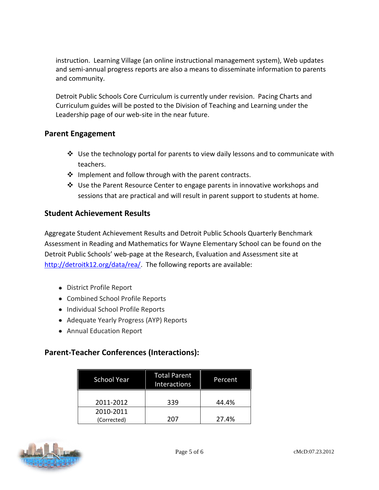instruction. Learning Village (an online instructional management system), Web updates and semi-annual progress reports are also a means to disseminate information to parents and community.

Detroit Public Schools Core Curriculum is currently under revision. Pacing Charts and Curriculum guides will be posted to the Division of Teaching and Learning under the Leadership page of our web-site in the near future.

### **Parent Engagement**

- $\cdot$  Use the technology portal for parents to view daily lessons and to communicate with teachers.
- \* Implement and follow through with the parent contracts.
- $\clubsuit$  Use the Parent Resource Center to engage parents in innovative workshops and sessions that are practical and will result in parent support to students at home.

### **Student Achievement Results**

Aggregate Student Achievement Results and Detroit Public Schools Quarterly Benchmark Assessment in Reading and Mathematics for Wayne Elementary School can be found on the Detroit Public Schools' web-page at the Research, Evaluation and Assessment site at [http://detroitk12.org/data/rea/.](http://detroitk12.org/data/rea/) The following reports are available:

- District Profile Report
- Combined School Profile Reports
- Individual School Profile Reports
- Adequate Yearly Progress (AYP) Reports
- Annual Education Report

### **Parent-Teacher Conferences (Interactions):**

| <b>School Year</b>       | Total Parent<br><b>Interactions</b> | Percent |
|--------------------------|-------------------------------------|---------|
| 2011-2012                | 339                                 | 44.4%   |
| 2010-2011<br>(Corrected) | 207                                 | 27.4%   |